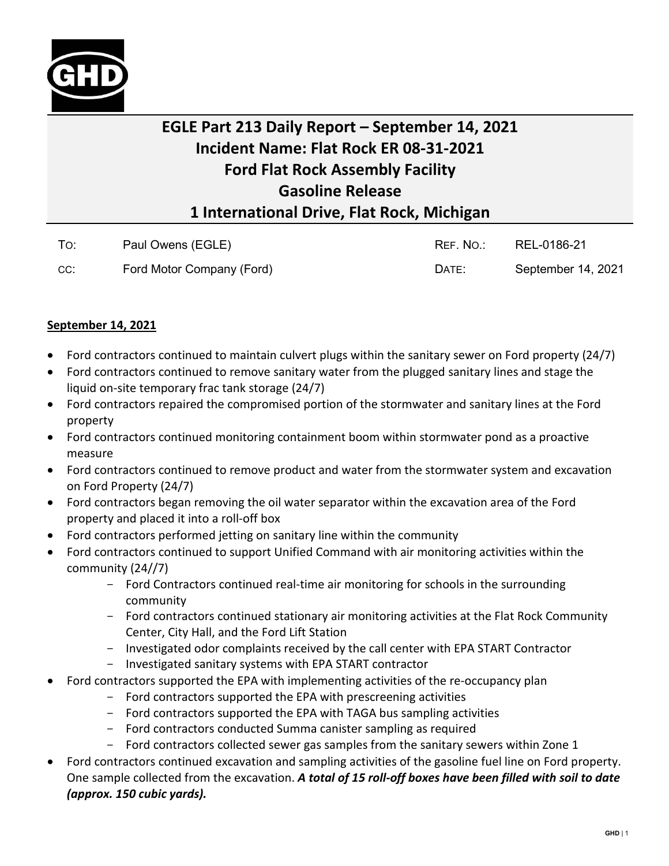

## **EGLE Part 213 Daily Report – September 14, 2021 Incident Name: Flat Rock ER 08-31-2021 Ford Flat Rock Assembly Facility Gasoline Release 1 International Drive, Flat Rock, Michigan**

| To: | Paul Owens (EGLE)         | REF. NO.: | REL-0186-21        |
|-----|---------------------------|-----------|--------------------|
| CC: | Ford Motor Company (Ford) | DATE:     | September 14, 2021 |

## **September 14, 2021**

- Ford contractors continued to maintain culvert plugs within the sanitary sewer on Ford property (24/7)
- Ford contractors continued to remove sanitary water from the plugged sanitary lines and stage the liquid on-site temporary frac tank storage (24/7)
- Ford contractors repaired the compromised portion of the stormwater and sanitary lines at the Ford property
- Ford contractors continued monitoring containment boom within stormwater pond as a proactive measure
- Ford contractors continued to remove product and water from the stormwater system and excavation on Ford Property (24/7)
- Ford contractors began removing the oil water separator within the excavation area of the Ford property and placed it into a roll-off box
- Ford contractors performed jetting on sanitary line within the community
- Ford contractors continued to support Unified Command with air monitoring activities within the community (24//7)
	- Ford Contractors continued real-time air monitoring for schools in the surrounding community
	- Ford contractors continued stationary air monitoring activities at the Flat Rock Community Center, City Hall, and the Ford Lift Station
	- Investigated odor complaints received by the call center with EPA START Contractor
	- Investigated sanitary systems with EPA START contractor
- Ford contractors supported the EPA with implementing activities of the re-occupancy plan
	- Ford contractors supported the EPA with prescreening activities
	- Ford contractors supported the EPA with TAGA bus sampling activities
	- Ford contractors conducted Summa canister sampling as required
	- Ford contractors collected sewer gas samples from the sanitary sewers within Zone 1
- Ford contractors continued excavation and sampling activities of the gasoline fuel line on Ford property. One sample collected from the excavation. *A total of 15 roll-off boxes have been filled with soil to date (approx. 150 cubic yards).*